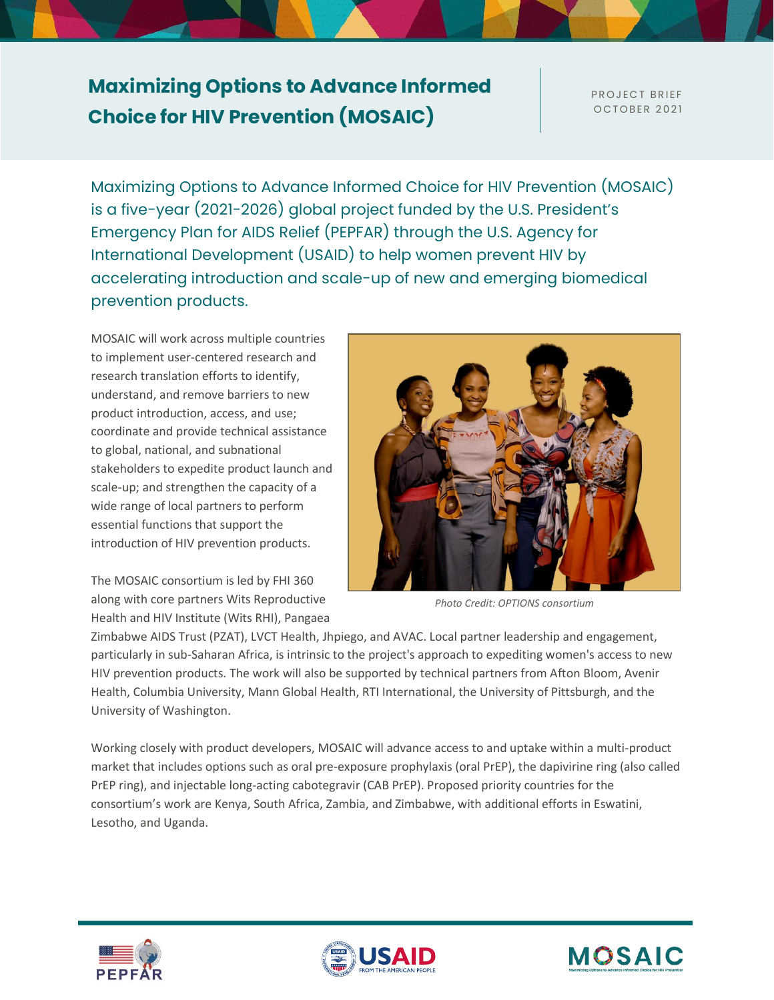## **Maximizing Options to Advance Informed Choice for HIV Prevention (MOSAIC)**

PROJECT BRIEF **OCTOBER 2021** 

Maximizing Options to Advance Informed Choice for HIV Prevention (MOSAIC) is a five-year (2021-2026) global project funded by the U.S. President's Emergency Plan for AIDS Relief (PEPFAR) through the U.S. Agency for International Development (USAID) to help women prevent HIV by accelerating introduction and scale-up of new and emerging biomedical prevention products.

MOSAIC will work across multiple countries to implement user-centered research and research translation efforts to identify, understand, and remove barriers to new product introduction, access, and use; coordinate and provide technical assistance to global, national, and subnational stakeholders to expedite product launch and scale-up; and strengthen the capacity of a wide range of local partners to perform essential functions that support the introduction of HIV prevention products.

The MOSAIC consortium is led by FHI 360 along with core partners Wits Reproductive Health and HIV Institute (Wits RHI), Pangaea



*Photo Credit: OPTIONS consortium*

Zimbabwe AIDS Trust (PZAT), LVCT Health, Jhpiego, and AVAC. Local partner leadership and engagement, particularly in sub-Saharan Africa, is intrinsic to the project's approach to expediting women's access to new HIV prevention products. The work will also be supported by technical partners from Afton Bloom, Avenir Health, Columbia University, Mann Global Health, RTI International, the University of Pittsburgh, and the University of Washington.

Working closely with product developers, MOSAIC will advance access to and uptake within a multi-product market that includes options such as oral pre-exposure prophylaxis (oral PrEP), the dapivirine ring (also called PrEP ring), and injectable long-acting cabotegravir (CAB PrEP). Proposed priority countries for the consortium's work are Kenya, South Africa, Zambia, and Zimbabwe, with additional efforts in Eswatini, Lesotho, and Uganda.